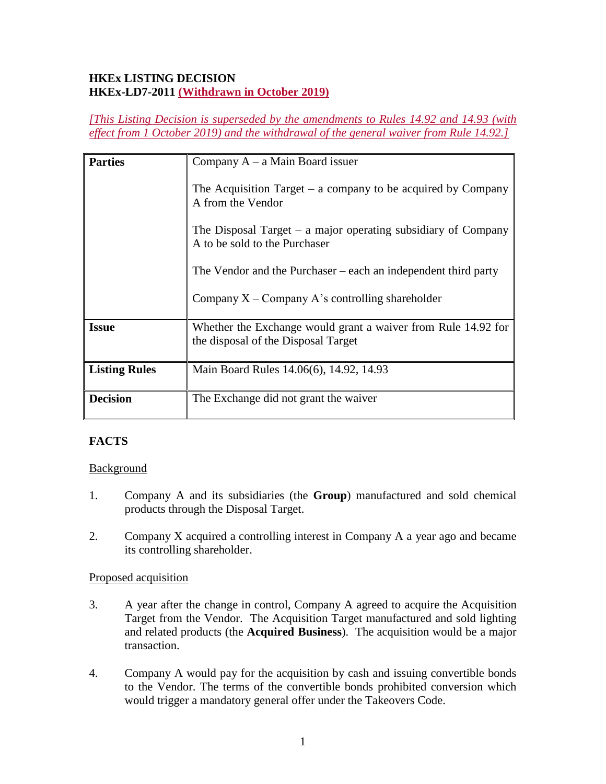## **HKEx LISTING DECISION HKEx-LD7-2011 (Withdrawn in October 2019)**

*[This Listing Decision is superseded by the amendments to Rules 14.92 and 14.93 (with effect from 1 October 2019) and the withdrawal of the general waiver from Rule 14.92.]*

| <b>Parties</b>       | Company $A - a$ Main Board issuer                                                                    |
|----------------------|------------------------------------------------------------------------------------------------------|
|                      | The Acquisition Target – a company to be acquired by Company<br>A from the Vendor                    |
|                      | The Disposal Target $-$ a major operating subsidiary of Company<br>A to be sold to the Purchaser     |
|                      | The Vendor and the Purchaser $-$ each an independent third party                                     |
|                      | Company $X$ – Company A's controlling shareholder                                                    |
| <b>Issue</b>         | Whether the Exchange would grant a waiver from Rule 14.92 for<br>the disposal of the Disposal Target |
| <b>Listing Rules</b> | Main Board Rules 14.06(6), 14.92, 14.93                                                              |
| <b>Decision</b>      | The Exchange did not grant the waiver                                                                |

## **FACTS**

## Background

- 1. Company A and its subsidiaries (the **Group**) manufactured and sold chemical products through the Disposal Target.
- 2. Company X acquired a controlling interest in Company A a year ago and became its controlling shareholder.

### Proposed acquisition

- 3. A year after the change in control, Company A agreed to acquire the Acquisition Target from the Vendor. The Acquisition Target manufactured and sold lighting and related products (the **Acquired Business**). The acquisition would be a major transaction.
- 4. Company A would pay for the acquisition by cash and issuing convertible bonds to the Vendor. The terms of the convertible bonds prohibited conversion which would trigger a mandatory general offer under the Takeovers Code.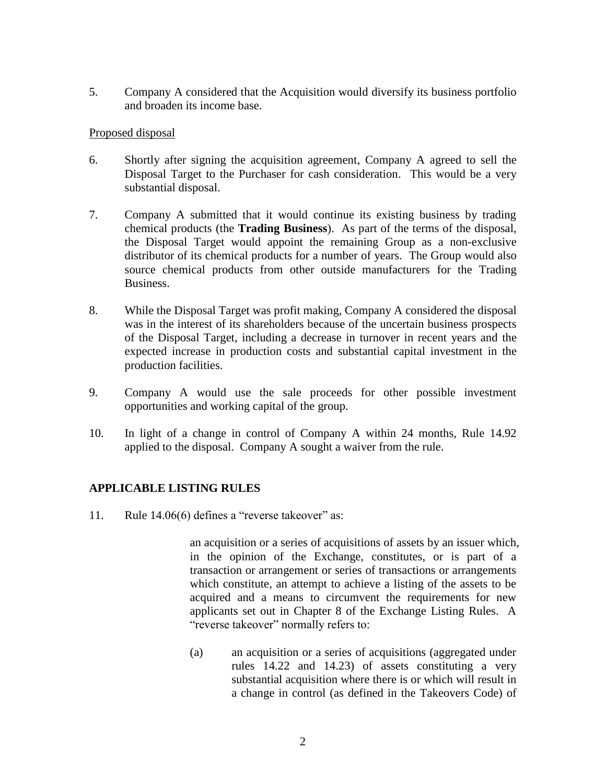5. Company A considered that the Acquisition would diversify its business portfolio and broaden its income base.

#### Proposed disposal

- 6. Shortly after signing the acquisition agreement, Company A agreed to sell the Disposal Target to the Purchaser for cash consideration. This would be a very substantial disposal.
- 7. Company A submitted that it would continue its existing business by trading chemical products (the **Trading Business**). As part of the terms of the disposal, the Disposal Target would appoint the remaining Group as a non-exclusive distributor of its chemical products for a number of years. The Group would also source chemical products from other outside manufacturers for the Trading Business.
- 8. While the Disposal Target was profit making, Company A considered the disposal was in the interest of its shareholders because of the uncertain business prospects of the Disposal Target, including a decrease in turnover in recent years and the expected increase in production costs and substantial capital investment in the production facilities.
- 9. Company A would use the sale proceeds for other possible investment opportunities and working capital of the group.
- 10. In light of a change in control of Company A within 24 months, Rule 14.92 applied to the disposal. Company A sought a waiver from the rule.

## **APPLICABLE LISTING RULES**

11. Rule 14.06(6) defines a "reverse takeover" as:

an acquisition or a series of acquisitions of assets by an issuer which, in the opinion of the Exchange, constitutes, or is part of a transaction or arrangement or series of transactions or arrangements which constitute, an attempt to achieve a listing of the assets to be acquired and a means to circumvent the requirements for new applicants set out in Chapter 8 of the Exchange Listing Rules. A "reverse takeover" normally refers to:

(a) an acquisition or a series of acquisitions (aggregated under rules 14.22 and 14.23) of assets constituting a very substantial acquisition where there is or which will result in a change in control (as defined in the Takeovers Code) of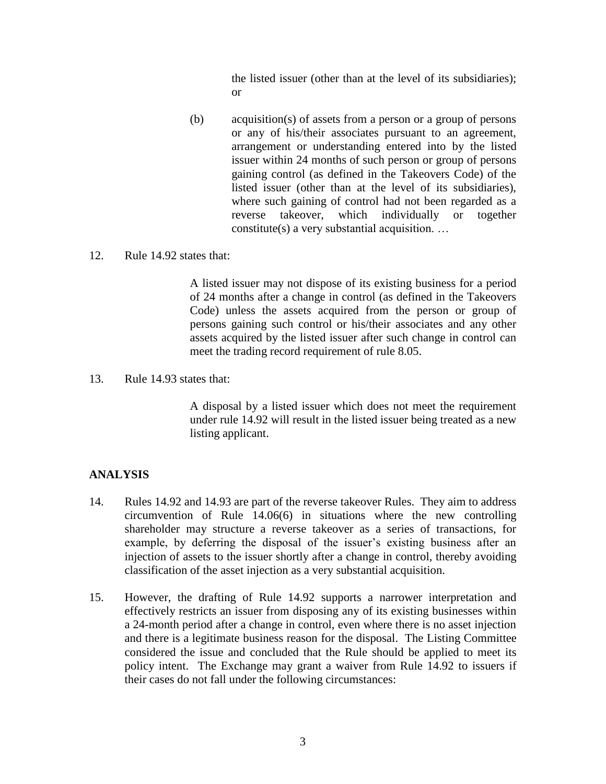the listed issuer (other than at the level of its subsidiaries); or

- (b) acquisition(s) of assets from a person or a group of persons or any of his/their associates pursuant to an agreement, arrangement or understanding entered into by the listed issuer within 24 months of such person or group of persons gaining control (as defined in the Takeovers Code) of the listed issuer (other than at the level of its subsidiaries), where such gaining of control had not been regarded as a reverse takeover, which individually or together constitute(s) a very substantial acquisition. …
- 12. Rule 14.92 states that:

A listed issuer may not dispose of its existing business for a period of 24 months after a change in control (as defined in the Takeovers Code) unless the assets acquired from the person or group of persons gaining such control or his/their associates and any other assets acquired by the listed issuer after such change in control can meet the trading record requirement of rule 8.05.

13. Rule 14.93 states that:

A disposal by a listed issuer which does not meet the requirement under rule 14.92 will result in the listed issuer being treated as a new listing applicant.

## **ANALYSIS**

- 14. Rules 14.92 and 14.93 are part of the reverse takeover Rules. They aim to address circumvention of Rule 14.06(6) in situations where the new controlling shareholder may structure a reverse takeover as a series of transactions, for example, by deferring the disposal of the issuer's existing business after an injection of assets to the issuer shortly after a change in control, thereby avoiding classification of the asset injection as a very substantial acquisition.
- 15. However, the drafting of Rule 14.92 supports a narrower interpretation and effectively restricts an issuer from disposing any of its existing businesses within a 24-month period after a change in control, even where there is no asset injection and there is a legitimate business reason for the disposal. The Listing Committee considered the issue and concluded that the Rule should be applied to meet its policy intent. The Exchange may grant a waiver from Rule 14.92 to issuers if their cases do not fall under the following circumstances: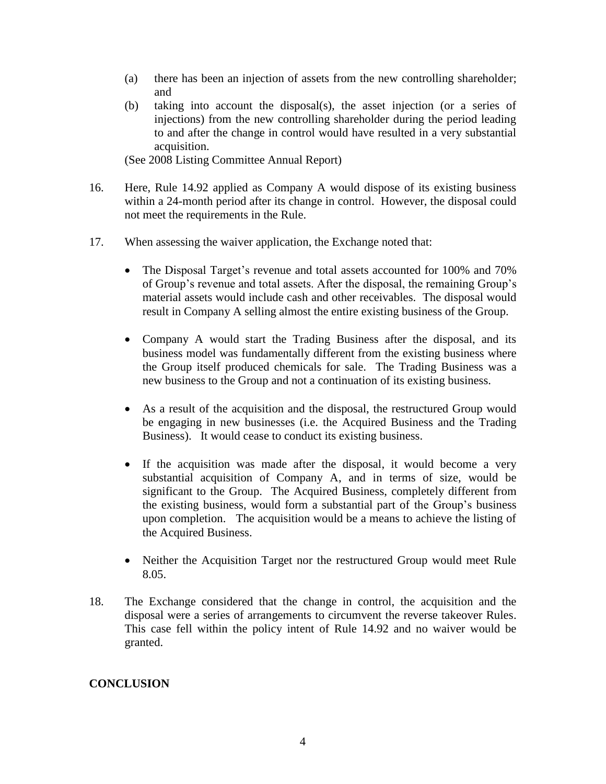- (a) there has been an injection of assets from the new controlling shareholder; and
- (b) taking into account the disposal(s), the asset injection (or a series of injections) from the new controlling shareholder during the period leading to and after the change in control would have resulted in a very substantial acquisition.

(See 2008 Listing Committee Annual Report)

- 16. Here, Rule 14.92 applied as Company A would dispose of its existing business within a 24-month period after its change in control. However, the disposal could not meet the requirements in the Rule.
- 17. When assessing the waiver application, the Exchange noted that:
	- The Disposal Target's revenue and total assets accounted for 100% and 70% of Group's revenue and total assets. After the disposal, the remaining Group's material assets would include cash and other receivables. The disposal would result in Company A selling almost the entire existing business of the Group.
	- Company A would start the Trading Business after the disposal, and its business model was fundamentally different from the existing business where the Group itself produced chemicals for sale. The Trading Business was a new business to the Group and not a continuation of its existing business.
	- As a result of the acquisition and the disposal, the restructured Group would be engaging in new businesses (i.e. the Acquired Business and the Trading Business). It would cease to conduct its existing business.
	- If the acquisition was made after the disposal, it would become a very substantial acquisition of Company A, and in terms of size, would be significant to the Group. The Acquired Business, completely different from the existing business, would form a substantial part of the Group's business upon completion. The acquisition would be a means to achieve the listing of the Acquired Business.
	- Neither the Acquisition Target nor the restructured Group would meet Rule 8.05.
- 18. The Exchange considered that the change in control, the acquisition and the disposal were a series of arrangements to circumvent the reverse takeover Rules. This case fell within the policy intent of Rule 14.92 and no waiver would be granted.

# **CONCLUSION**